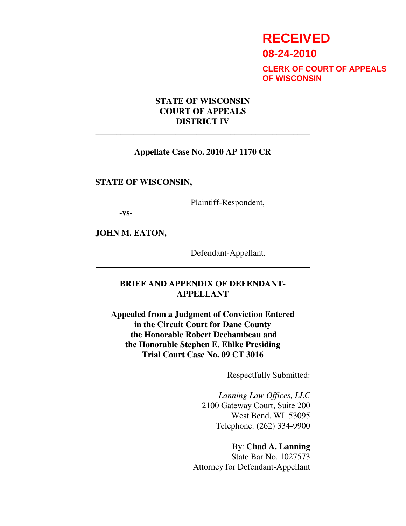# **RECEIVED**

**08-24-2010**

**CLERK OF COURT OF APPEALS OF WISCONSIN**

## **STATE OF WISCONSIN COURT OF APPEALS DISTRICT IV**

#### **Appellate Case No. 2010 AP 1170 CR**

\_\_\_\_\_\_\_\_\_\_\_\_\_\_\_\_\_\_\_\_\_\_\_\_\_\_\_\_\_\_\_\_\_\_\_\_\_\_\_\_\_\_\_\_\_\_\_\_\_\_\_

#### **STATE OF WISCONSIN,**

Plaintiff-Respondent,

**-vs-**

 $\overline{a}$ 

 $\overline{a}$ 

 $\overline{a}$ 

 $\overline{a}$ 

**JOHN M. EATON,** 

Defendant-Appellant.

# **BRIEF AND APPENDIX OF DEFENDANT-APPELLANT**

**Appealed from a Judgment of Conviction Entered in the Circuit Court for Dane County the Honorable Robert Dechambeau and the Honorable Stephen E. Ehlke Presiding Trial Court Case No. 09 CT 3016** 

Respectfully Submitted:

*Lanning Law Offices, LLC* 2100 Gateway Court, Suite 200 West Bend, WI 53095 Telephone: (262) 334-9900

By: **Chad A. Lanning**  State Bar No. 1027573 Attorney for Defendant-Appellant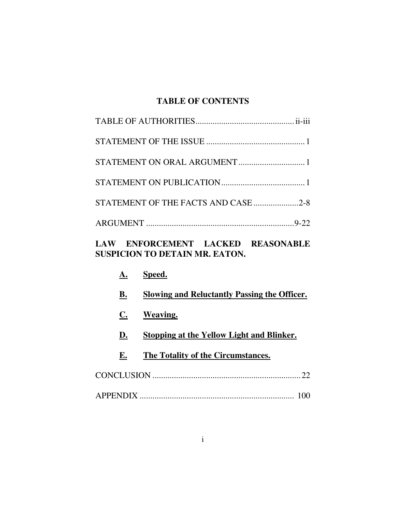# **TABLE OF CONTENTS**

| STATEMENT OF THE FACTS AND CASE 2-8 |  |
|-------------------------------------|--|
|                                     |  |
|                                     |  |

# **LAW ENFORCEMENT LACKED REASONABLE SUSPICION TO DETAIN MR. EATON.**

|    | Speed.                                       |
|----|----------------------------------------------|
| В. | Slowing and Reluctantly Passing the Officer. |
| C. | Weaving.                                     |
| D. | Stopping at the Yellow Light and Blinker.    |
| Е. | The Totality of the Circumstances.           |
|    | 22                                           |
|    |                                              |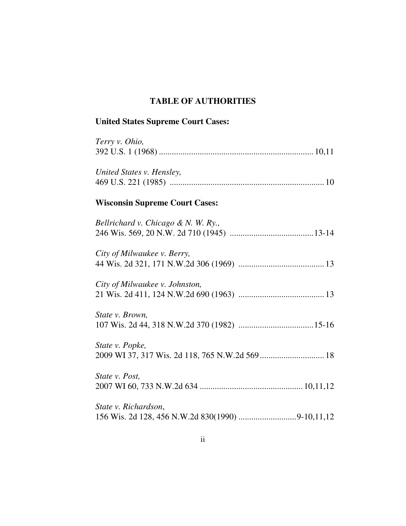# **TABLE OF AUTHORITIES**

# **United States Supreme Court Cases:**

| Terry v. Ohio,                        |
|---------------------------------------|
| United States v. Hensley,             |
| <b>Wisconsin Supreme Court Cases:</b> |
| Bellrichard v. Chicago & N. W. Ry.,   |
| City of Milwaukee v. Berry,           |
| City of Milwaukee v. Johnston,        |
| State v. Brown,                       |
| State v. Popke,                       |
| State v. Post,                        |
| State v. Richardson,                  |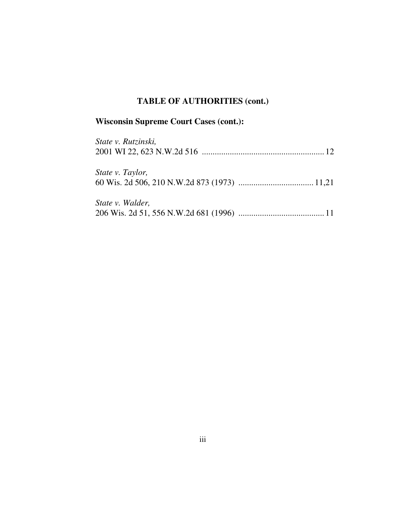# **TABLE OF AUTHORITIES (cont.)**

# **Wisconsin Supreme Court Cases (cont.):**

| State v. Rutzinski, |  |
|---------------------|--|
| State v. Taylor,    |  |
| State v. Walder,    |  |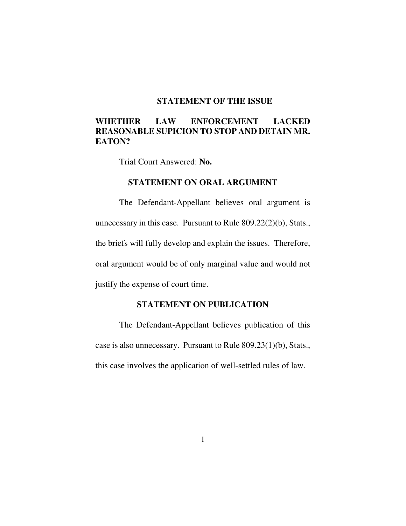## **STATEMENT OF THE ISSUE**

# **WHETHER LAW ENFORCEMENT LACKED REASONABLE SUPICION TO STOP AND DETAIN MR. EATON?**

Trial Court Answered: **No.** 

#### **STATEMENT ON ORAL ARGUMENT**

The Defendant-Appellant believes oral argument is unnecessary in this case. Pursuant to Rule 809.22(2)(b), Stats., the briefs will fully develop and explain the issues. Therefore, oral argument would be of only marginal value and would not justify the expense of court time.

## **STATEMENT ON PUBLICATION**

The Defendant-Appellant believes publication of this case is also unnecessary. Pursuant to Rule 809.23(1)(b), Stats., this case involves the application of well-settled rules of law.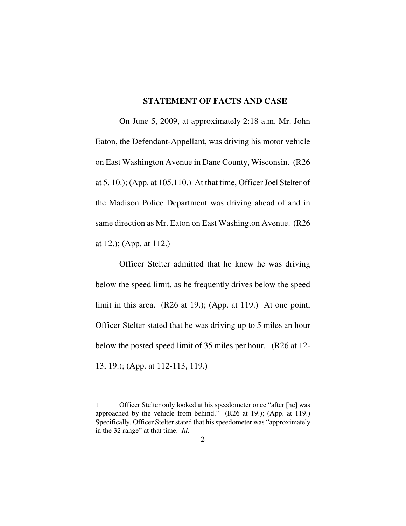#### **STATEMENT OF FACTS AND CASE**

On June 5, 2009, at approximately 2:18 a.m. Mr. John Eaton, the Defendant-Appellant, was driving his motor vehicle on East Washington Avenue in Dane County, Wisconsin. (R26 at 5, 10.); (App. at 105,110.) At that time, Officer Joel Stelter of the Madison Police Department was driving ahead of and in same direction as Mr. Eaton on East Washington Avenue. (R26 at 12.); (App. at 112.)

Officer Stelter admitted that he knew he was driving below the speed limit, as he frequently drives below the speed limit in this area. (R26 at 19.); (App. at 119.) At one point, Officer Stelter stated that he was driving up to 5 miles an hour below the posted speed limit of 35 miles per hour.1 (R26 at 12- 13, 19.); (App. at 112-113, 119.)

-

Officer Stelter only looked at his speedometer once "after [he] was approached by the vehicle from behind." (R26 at 19.); (App. at 119.) Specifically, Officer Stelter stated that his speedometer was "approximately in the 32 range" at that time. *Id*.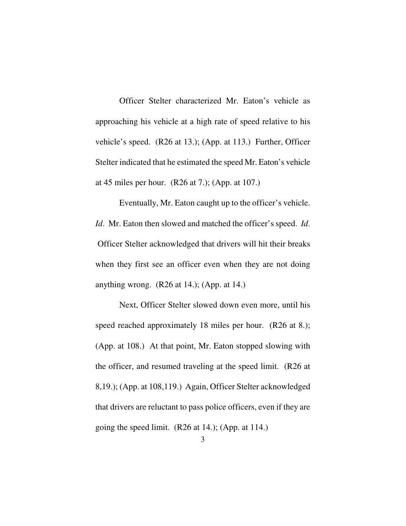Officer Stelter characterized Mr. Eaton's vehicle as approaching his vehicle at a high rate of speed relative to his vehicle's speed. (R26 at 13.); (App. at 113.) Further, Officer Stelter indicated that he estimated the speed Mr. Eaton's vehicle at 45 miles per hour. (R26 at 7.); (App. at 107.)

Eventually, Mr. Eaton caught up to the officer's vehicle. *Id*. Mr. Eaton then slowed and matched the officer's speed. *Id*. Officer Stelter acknowledged that drivers will hit their breaks when they first see an officer even when they are not doing anything wrong.  $(R26 \text{ at } 14.); (App. \text{ at } 14.)$ 

Next, Officer Stelter slowed down even more, until his speed reached approximately 18 miles per hour. (R26 at 8.); (App. at 108.) At that point, Mr. Eaton stopped slowing with the officer, and resumed traveling at the speed limit. (R26 at 8,19.); (App. at 108,119.) Again, Officer Stelter acknowledged that drivers are reluctant to pass police officers, even if they are going the speed limit. (R26 at 14.); (App. at 114.)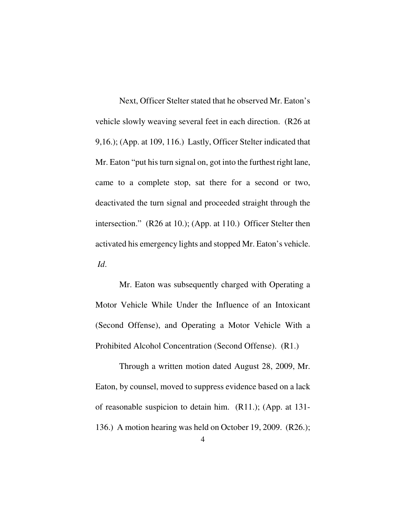Next, Officer Stelter stated that he observed Mr. Eaton's vehicle slowly weaving several feet in each direction. (R26 at 9,16.); (App. at 109, 116.) Lastly, Officer Stelter indicated that Mr. Eaton "put his turn signal on, got into the furthest right lane, came to a complete stop, sat there for a second or two, deactivated the turn signal and proceeded straight through the intersection." (R26 at 10.); (App. at 110.) Officer Stelter then activated his emergency lights and stopped Mr. Eaton's vehicle. *Id*.

Mr. Eaton was subsequently charged with Operating a Motor Vehicle While Under the Influence of an Intoxicant (Second Offense), and Operating a Motor Vehicle With a Prohibited Alcohol Concentration (Second Offense). (R1.)

Through a written motion dated August 28, 2009, Mr. Eaton, by counsel, moved to suppress evidence based on a lack of reasonable suspicion to detain him. (R11.); (App. at 131- 136.) A motion hearing was held on October 19, 2009. (R26.);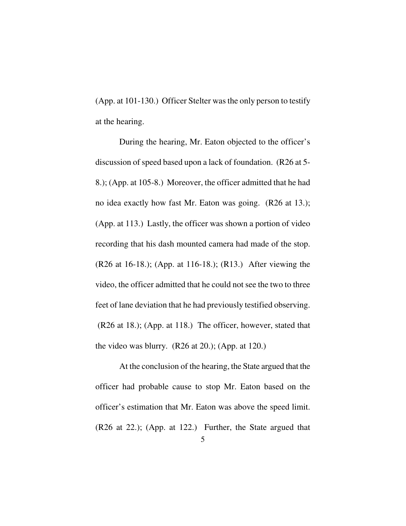(App. at 101-130.) Officer Stelter was the only person to testify at the hearing.

During the hearing, Mr. Eaton objected to the officer's discussion of speed based upon a lack of foundation. (R26 at 5- 8.); (App. at 105-8.) Moreover, the officer admitted that he had no idea exactly how fast Mr. Eaton was going. (R26 at 13.); (App. at 113.) Lastly, the officer was shown a portion of video recording that his dash mounted camera had made of the stop. (R26 at 16-18.); (App. at 116-18.); (R13.) After viewing the video, the officer admitted that he could not see the two to three feet of lane deviation that he had previously testified observing. (R26 at 18.); (App. at 118.) The officer, however, stated that the video was blurry. (R26 at 20.); (App. at 120.)

At the conclusion of the hearing, the State argued that the officer had probable cause to stop Mr. Eaton based on the officer's estimation that Mr. Eaton was above the speed limit. (R26 at 22.); (App. at 122.) Further, the State argued that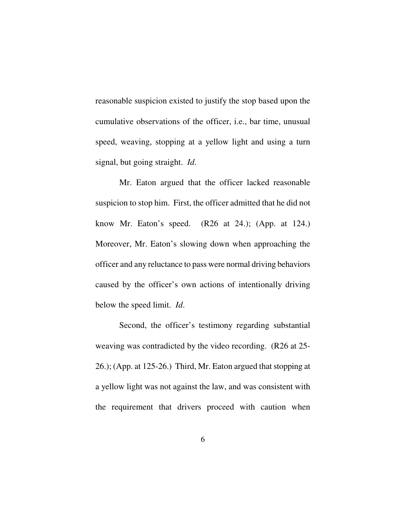reasonable suspicion existed to justify the stop based upon the cumulative observations of the officer, i.e., bar time, unusual speed, weaving, stopping at a yellow light and using a turn signal, but going straight. *Id*.

Mr. Eaton argued that the officer lacked reasonable suspicion to stop him. First, the officer admitted that he did not know Mr. Eaton's speed. (R26 at 24.); (App. at 124.) Moreover, Mr. Eaton's slowing down when approaching the officer and any reluctance to pass were normal driving behaviors caused by the officer's own actions of intentionally driving below the speed limit. *Id*.

Second, the officer's testimony regarding substantial weaving was contradicted by the video recording. (R26 at 25- 26.); (App. at 125-26.) Third, Mr. Eaton argued that stopping at a yellow light was not against the law, and was consistent with the requirement that drivers proceed with caution when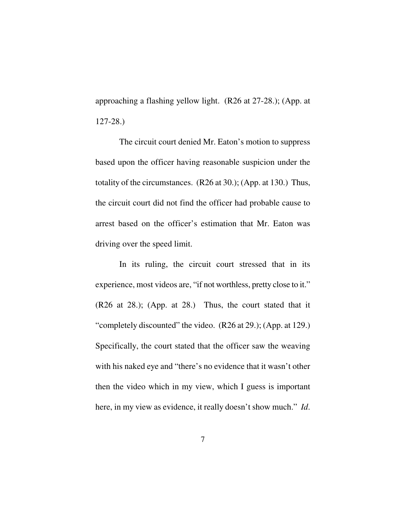approaching a flashing yellow light. (R26 at 27-28.); (App. at 127-28.)

The circuit court denied Mr. Eaton's motion to suppress based upon the officer having reasonable suspicion under the totality of the circumstances. (R26 at 30.); (App. at 130.) Thus, the circuit court did not find the officer had probable cause to arrest based on the officer's estimation that Mr. Eaton was driving over the speed limit.

In its ruling, the circuit court stressed that in its experience, most videos are, "if not worthless, pretty close to it." (R26 at 28.); (App. at 28.) Thus, the court stated that it "completely discounted" the video. (R26 at 29.); (App. at 129.) Specifically, the court stated that the officer saw the weaving with his naked eye and "there's no evidence that it wasn't other then the video which in my view, which I guess is important here, in my view as evidence, it really doesn't show much." *Id*.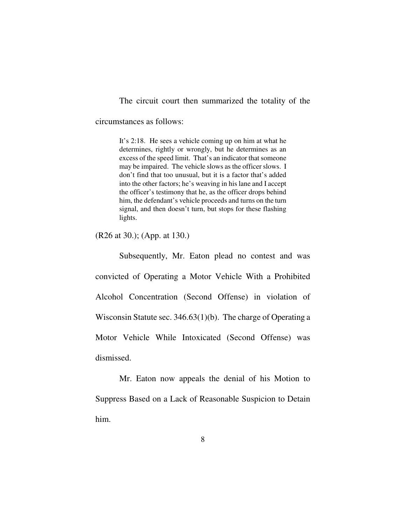The circuit court then summarized the totality of the

circumstances as follows:

It's 2:18. He sees a vehicle coming up on him at what he determines, rightly or wrongly, but he determines as an excess of the speed limit. That's an indicator that someone may be impaired. The vehicle slows as the officer slows. I don't find that too unusual, but it is a factor that's added into the other factors; he's weaving in his lane and I accept the officer's testimony that he, as the officer drops behind him, the defendant's vehicle proceeds and turns on the turn signal, and then doesn't turn, but stops for these flashing lights.

(R26 at 30.); (App. at 130.)

Subsequently, Mr. Eaton plead no contest and was convicted of Operating a Motor Vehicle With a Prohibited Alcohol Concentration (Second Offense) in violation of Wisconsin Statute sec. 346.63(1)(b). The charge of Operating a Motor Vehicle While Intoxicated (Second Offense) was dismissed.

Mr. Eaton now appeals the denial of his Motion to Suppress Based on a Lack of Reasonable Suspicion to Detain him.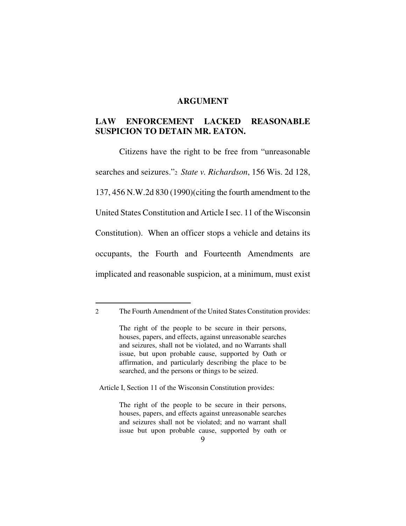#### **ARGUMENT**

# **LAW ENFORCEMENT LACKED REASONABLE SUSPICION TO DETAIN MR. EATON.**

 Citizens have the right to be free from "unreasonable searches and seizures."2 *State v. Richardson*, 156 Wis. 2d 128, 137, 456 N.W.2d 830 (1990)(citing the fourth amendment to the United States Constitution and Article I sec. 11 of the Wisconsin Constitution). When an officer stops a vehicle and detains its occupants, the Fourth and Fourteenth Amendments are implicated and reasonable suspicion, at a minimum, must exist

-

Article I, Section 11 of the Wisconsin Constitution provides:

The right of the people to be secure in their persons, houses, papers, and effects against unreasonable searches and seizures shall not be violated; and no warrant shall issue but upon probable cause, supported by oath or

<sup>2</sup> The Fourth Amendment of the United States Constitution provides:

The right of the people to be secure in their persons, houses, papers, and effects, against unreasonable searches and seizures, shall not be violated, and no Warrants shall issue, but upon probable cause, supported by Oath or affirmation, and particularly describing the place to be searched, and the persons or things to be seized.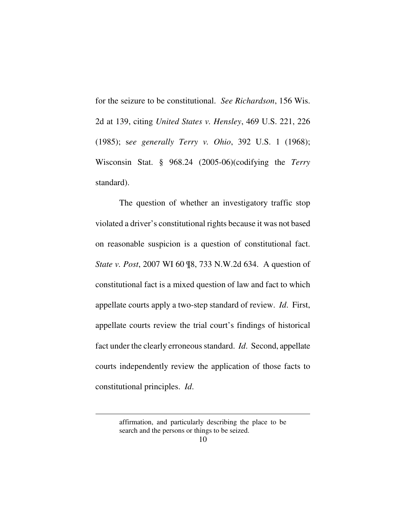for the seizure to be constitutional. *See Richardson*, 156 Wis. 2d at 139, citing *United States v. Hensley*, 469 U.S. 221, 226 (1985); s*ee generally Terry v. Ohio*, 392 U.S. 1 (1968); Wisconsin Stat. § 968.24 (2005-06)(codifying the *Terry* standard).

 The question of whether an investigatory traffic stop violated a driver's constitutional rights because it was not based on reasonable suspicion is a question of constitutional fact. *State v. Post*, 2007 WI 60 ¶8, 733 N.W.2d 634. A question of constitutional fact is a mixed question of law and fact to which appellate courts apply a two-step standard of review. *Id*. First, appellate courts review the trial court's findings of historical fact under the clearly erroneous standard. *Id*. Second, appellate courts independently review the application of those facts to constitutional principles. *Id*.

<u>.</u>

affirmation, and particularly describing the place to be search and the persons or things to be seized.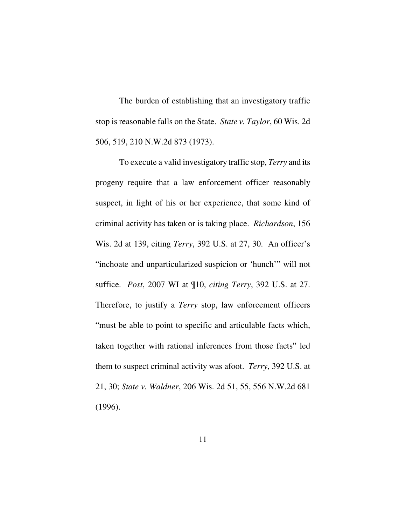The burden of establishing that an investigatory traffic stop is reasonable falls on the State. *State v. Taylor*, 60 Wis. 2d 506, 519, 210 N.W.2d 873 (1973).

 To execute a valid investigatory traffic stop, *Terry* and its progeny require that a law enforcement officer reasonably suspect, in light of his or her experience, that some kind of criminal activity has taken or is taking place. *Richardson*, 156 Wis. 2d at 139, citing *Terry*, 392 U.S. at 27, 30. An officer's "inchoate and unparticularized suspicion or 'hunch'" will not suffice. *Post*, 2007 WI at ¶10, *citing Terry*, 392 U.S. at 27. Therefore, to justify a *Terry* stop, law enforcement officers "must be able to point to specific and articulable facts which, taken together with rational inferences from those facts" led them to suspect criminal activity was afoot. *Terry*, 392 U.S. at 21, 30; *State v. Waldner*, 206 Wis. 2d 51, 55, 556 N.W.2d 681 (1996).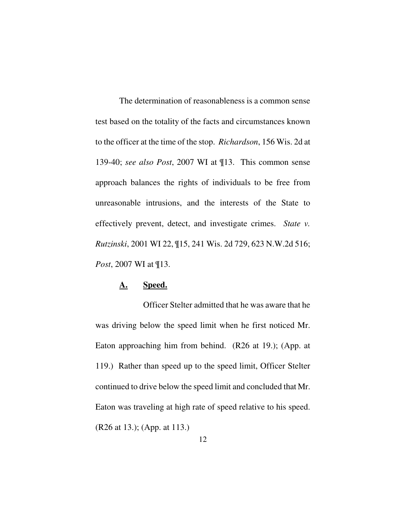The determination of reasonableness is a common sense test based on the totality of the facts and circumstances known to the officer at the time of the stop. *Richardson*, 156 Wis. 2d at 139-40; *see also Post*, 2007 WI at ¶13. This common sense approach balances the rights of individuals to be free from unreasonable intrusions, and the interests of the State to effectively prevent, detect, and investigate crimes. *State v. Rutzinski*, 2001 WI 22, ¶15, 241 Wis. 2d 729, 623 N.W.2d 516; *Post*, 2007 WI at ¶13.

# **A. Speed.**

 Officer Stelter admitted that he was aware that he was driving below the speed limit when he first noticed Mr. Eaton approaching him from behind. (R26 at 19.); (App. at 119.) Rather than speed up to the speed limit, Officer Stelter continued to drive below the speed limit and concluded that Mr. Eaton was traveling at high rate of speed relative to his speed. (R26 at 13.); (App. at 113.)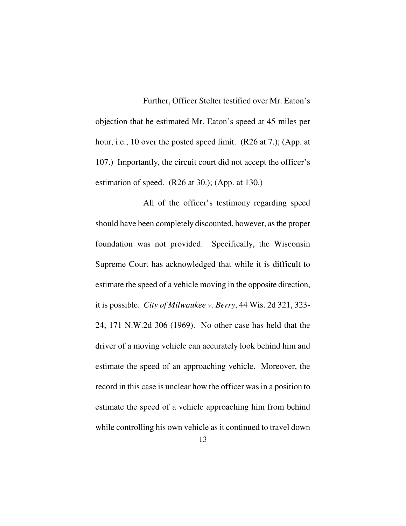Further, Officer Stelter testified over Mr. Eaton's objection that he estimated Mr. Eaton's speed at 45 miles per hour, i.e., 10 over the posted speed limit. (R26 at 7.); (App. at 107.) Importantly, the circuit court did not accept the officer's estimation of speed. (R26 at 30.); (App. at 130.)

 All of the officer's testimony regarding speed should have been completely discounted, however, as the proper foundation was not provided. Specifically, the Wisconsin Supreme Court has acknowledged that while it is difficult to estimate the speed of a vehicle moving in the opposite direction, it is possible. *City of Milwaukee v. Berry*, 44 Wis. 2d 321, 323- 24, 171 N.W.2d 306 (1969). No other case has held that the driver of a moving vehicle can accurately look behind him and estimate the speed of an approaching vehicle. Moreover, the record in this case is unclear how the officer was in a position to estimate the speed of a vehicle approaching him from behind while controlling his own vehicle as it continued to travel down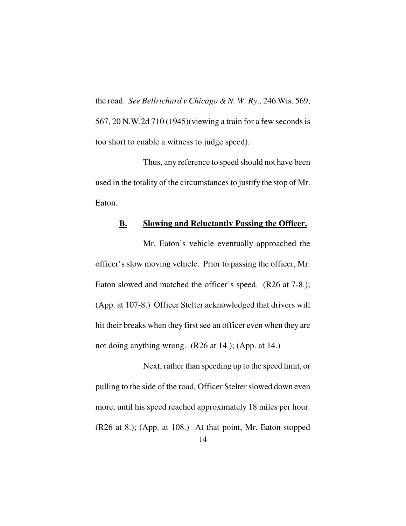the road. *See Bellrichard v Chicago & N. W. Ry*., 246 Wis. 569, 567, 20 N.W.2d 710 (1945)(viewing a train for a few seconds is too short to enable a witness to judge speed).

 Thus, any reference to speed should not have been used in the totality of the circumstances to justify the stop of Mr. Eaton.

# **B. Slowing and Reluctantly Passing the Officer.**

 Mr. Eaton's vehicle eventually approached the officer's slow moving vehicle. Prior to passing the officer, Mr. Eaton slowed and matched the officer's speed. (R26 at 7-8.); (App. at 107-8.) Officer Stelter acknowledged that drivers will hit their breaks when they first see an officer even when they are not doing anything wrong. (R26 at 14.); (App. at 14.)

 Next, rather than speeding up to the speed limit, or pulling to the side of the road, Officer Stelter slowed down even more, until his speed reached approximately 18 miles per hour. (R26 at 8.); (App. at 108.) At that point, Mr. Eaton stopped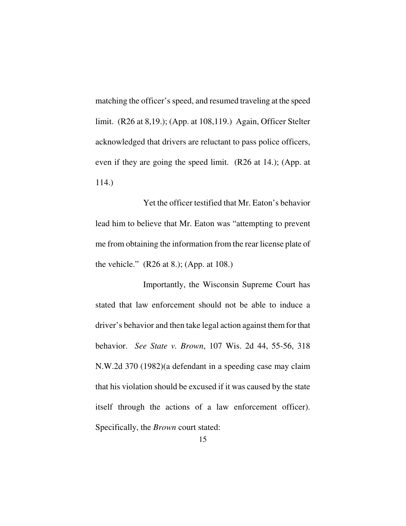matching the officer's speed, and resumed traveling at the speed limit. (R26 at 8,19.); (App. at 108,119.) Again, Officer Stelter acknowledged that drivers are reluctant to pass police officers, even if they are going the speed limit. (R26 at 14.); (App. at 114.)

 Yet the officer testified that Mr. Eaton's behavior lead him to believe that Mr. Eaton was "attempting to prevent me from obtaining the information from the rear license plate of the vehicle." (R26 at 8.); (App. at 108.)

 Importantly, the Wisconsin Supreme Court has stated that law enforcement should not be able to induce a driver's behavior and then take legal action against them for that behavior. *See State v. Brown*, 107 Wis. 2d 44, 55-56, 318 N.W.2d 370 (1982)(a defendant in a speeding case may claim that his violation should be excused if it was caused by the state itself through the actions of a law enforcement officer). Specifically, the *Brown* court stated: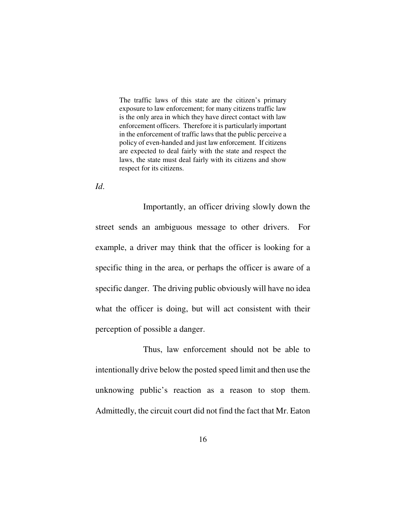The traffic laws of this state are the citizen's primary exposure to law enforcement; for many citizens traffic law is the only area in which they have direct contact with law enforcement officers. Therefore it is particularly important in the enforcement of traffic laws that the public perceive a policy of even-handed and just law enforcement. If citizens are expected to deal fairly with the state and respect the laws, the state must deal fairly with its citizens and show respect for its citizens.

*Id*.

 Importantly, an officer driving slowly down the street sends an ambiguous message to other drivers. For example, a driver may think that the officer is looking for a specific thing in the area, or perhaps the officer is aware of a specific danger. The driving public obviously will have no idea what the officer is doing, but will act consistent with their perception of possible a danger.

 Thus, law enforcement should not be able to intentionally drive below the posted speed limit and then use the unknowing public's reaction as a reason to stop them. Admittedly, the circuit court did not find the fact that Mr. Eaton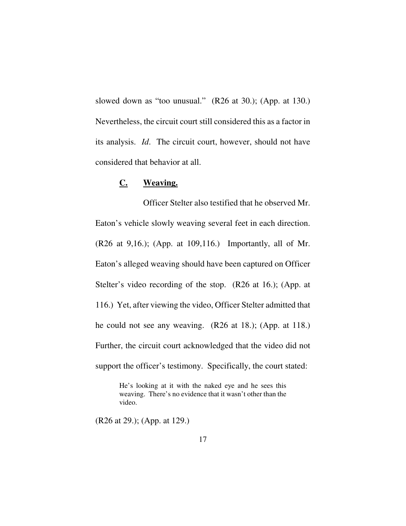slowed down as "too unusual." (R26 at 30.); (App. at 130.) Nevertheless, the circuit court still considered this as a factor in its analysis. *Id*. The circuit court, however, should not have considered that behavior at all.

## **C. Weaving.**

 Officer Stelter also testified that he observed Mr. Eaton's vehicle slowly weaving several feet in each direction. (R26 at 9,16.); (App. at 109,116.) Importantly, all of Mr. Eaton's alleged weaving should have been captured on Officer Stelter's video recording of the stop. (R26 at 16.); (App. at 116.) Yet, after viewing the video, Officer Stelter admitted that he could not see any weaving. (R26 at 18.); (App. at 118.) Further, the circuit court acknowledged that the video did not support the officer's testimony. Specifically, the court stated:

> He's looking at it with the naked eye and he sees this weaving. There's no evidence that it wasn't other than the video.

(R26 at 29.); (App. at 129.)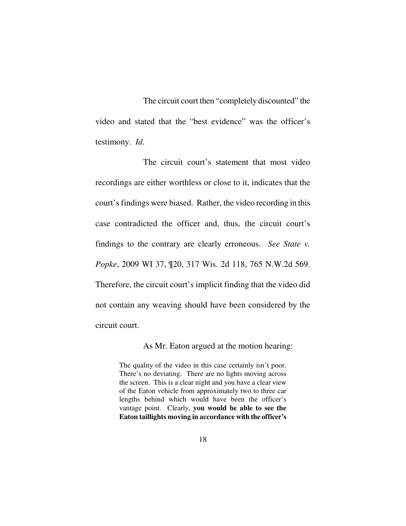The circuit court then "completely discounted" the video and stated that the "best evidence" was the officer's testimony. *Id*.

 The circuit court's statement that most video recordings are either worthless or close to it, indicates that the court's findings were biased. Rather, the video recording in this case contradicted the officer and, thus, the circuit court's findings to the contrary are clearly erroneous. *See State v. Popke*, 2009 WI 37, ¶20, 317 Wis. 2d 118, 765 N.W.2d 569. Therefore, the circuit court's implicit finding that the video did not contain any weaving should have been considered by the circuit court.

As Mr. Eaton argued at the motion hearing:

The quality of the video in this case certainly isn't poor. There's no deviating. There are no lights moving across the screen. This is a clear night and you have a clear view of the Eaton vehicle from approximately two to three car lengths behind which would have been the officer's vantage point. Clearly, **you would be able to see the Eaton taillights moving in accordance with the officer's**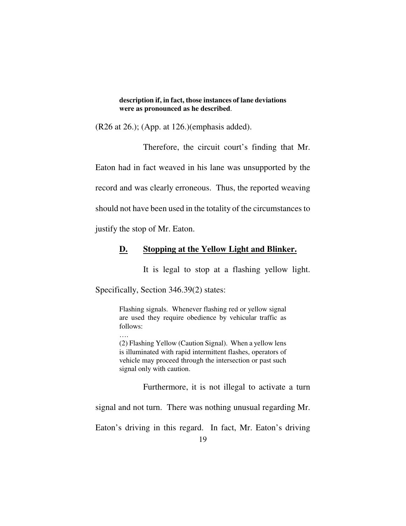**description if, in fact, those instances of lane deviations were as pronounced as he described**.

(R26 at 26.); (App. at 126.)(emphasis added).

Therefore, the circuit court's finding that Mr.

Eaton had in fact weaved in his lane was unsupported by the record and was clearly erroneous. Thus, the reported weaving

should not have been used in the totality of the circumstances to

justify the stop of Mr. Eaton.

#### **D. Stopping at the Yellow Light and Blinker.**

It is legal to stop at a flashing yellow light.

Specifically, Section 346.39(2) states:

Flashing signals. Whenever flashing red or yellow signal are used they require obedience by vehicular traffic as follows:

…. (2) Flashing Yellow (Caution Signal). When a yellow lens is illuminated with rapid intermittent flashes, operators of vehicle may proceed through the intersection or past such signal only with caution.

Furthermore, it is not illegal to activate a turn

signal and not turn. There was nothing unusual regarding Mr.

Eaton's driving in this regard. In fact, Mr. Eaton's driving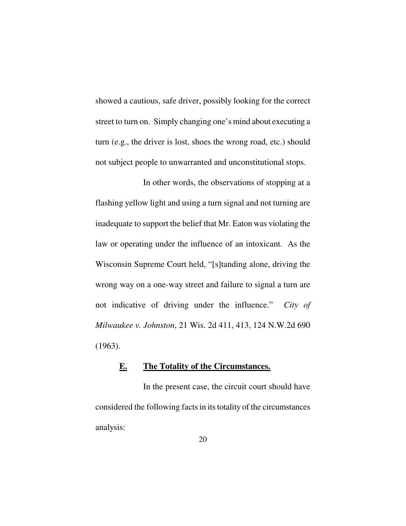showed a cautious, safe driver, possibly looking for the correct street to turn on. Simply changing one's mind about executing a turn (e.g., the driver is lost, shoes the wrong road, etc.) should not subject people to unwarranted and unconstitutional stops.

 In other words, the observations of stopping at a flashing yellow light and using a turn signal and not turning are inadequate to support the belief that Mr. Eaton was violating the law or operating under the influence of an intoxicant. As the Wisconsin Supreme Court held, "[s]tanding alone, driving the wrong way on a one-way street and failure to signal a turn are not indicative of driving under the influence." *City of Milwaukee v. Johnston*, 21 Wis. 2d 411, 413, 124 N.W.2d 690 (1963).

#### **E. The Totality of the Circumstances.**

 In the present case, the circuit court should have considered the following facts in its totality of the circumstances analysis: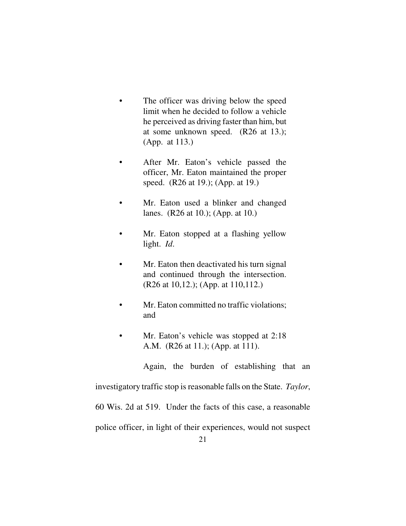- The officer was driving below the speed limit when he decided to follow a vehicle he perceived as driving faster than him, but at some unknown speed. (R26 at 13.); (App. at 113.)
- After Mr. Eaton's vehicle passed the officer, Mr. Eaton maintained the proper speed. (R26 at 19.); (App. at 19.)
- Mr. Eaton used a blinker and changed lanes. (R26 at 10.); (App. at 10.)
- Mr. Eaton stopped at a flashing yellow light. *Id*.
- Mr. Eaton then deactivated his turn signal and continued through the intersection. (R26 at 10,12.); (App. at 110,112.)
- Mr. Eaton committed no traffic violations; and
- Mr. Eaton's vehicle was stopped at 2:18 A.M. (R26 at 11.); (App. at 111).

Again, the burden of establishing that an

investigatory traffic stop is reasonable falls on the State. *Taylor*,

60 Wis. 2d at 519. Under the facts of this case, a reasonable

police officer, in light of their experiences, would not suspect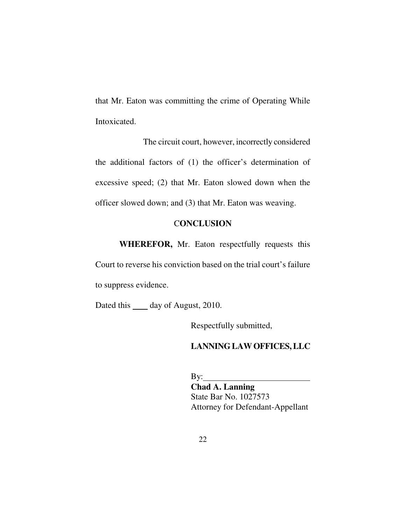that Mr. Eaton was committing the crime of Operating While Intoxicated.

 The circuit court, however, incorrectly considered the additional factors of (1) the officer's determination of excessive speed; (2) that Mr. Eaton slowed down when the officer slowed down; and (3) that Mr. Eaton was weaving.

## C**ONCLUSION**

 **WHEREFOR,** Mr. Eaton respectfully requests this

Court to reverse his conviction based on the trial court's failure to suppress evidence.

Dated this \_\_\_\_\_ day of August, 2010.

Respectfully submitted,

## **LANNING LAW OFFICES, LLC**

 $By:$  **Chad A. Lanning** State Bar No. 1027573 Attorney for Defendant-Appellant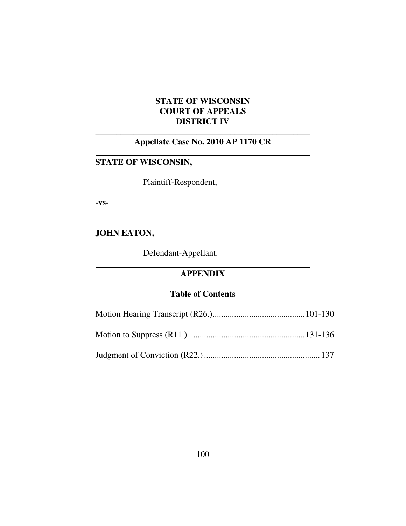# **STATE OF WISCONSIN COURT OF APPEALS DISTRICT IV**

# \_\_\_\_\_\_\_\_\_\_\_\_\_\_\_\_\_\_\_\_\_\_\_\_\_\_\_\_\_\_\_\_\_\_\_\_\_\_\_\_\_\_\_\_\_\_\_\_\_\_\_ **Appellate Case No. 2010 AP 1170 CR**

# **STATE OF WISCONSIN,**

Plaintiff-Respondent,

**-vs-**

 $\overline{a}$ 

 $\overline{a}$ 

 $\overline{a}$ 

# **JOHN EATON,**

Defendant-Appellant.

# **APPENDIX**

# **Table of Contents**